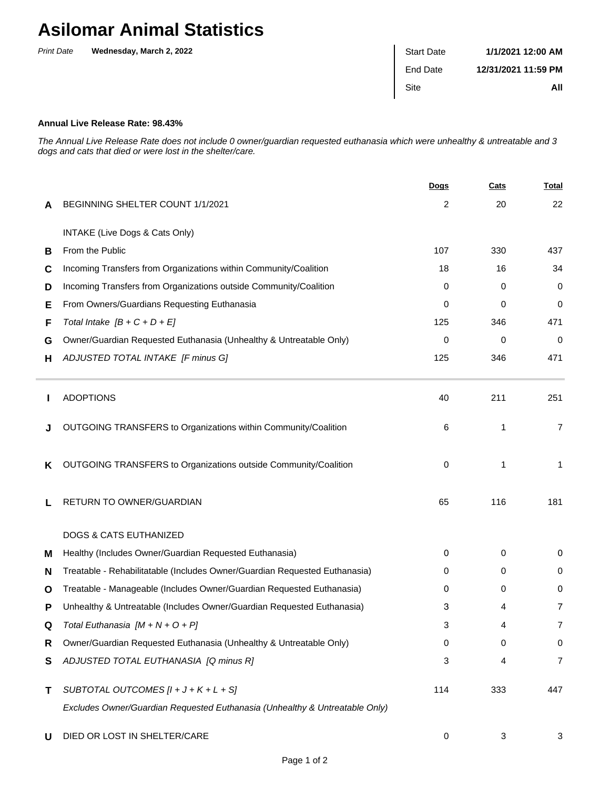## **Asilomar Animal Statistics**

| <b>Print Date</b> | Wednesday, March 2, 2022 | <b>Start Date</b> | 1/1/2021 12:00 AM   |
|-------------------|--------------------------|-------------------|---------------------|
|                   |                          | End Date          | 12/31/2021 11:59 PM |
|                   |                          | Site              | All                 |
|                   |                          |                   |                     |

## **Annual Live Release Rate: 98.43%**

The Annual Live Release Rate does not include 0 owner/guardian requested euthanasia which were unhealthy & untreatable and 3 dogs and cats that died or were lost in the shelter/care.

|   |                                                                             | <b>Dogs</b> | Cats | <u>Total</u>   |
|---|-----------------------------------------------------------------------------|-------------|------|----------------|
| A | BEGINNING SHELTER COUNT 1/1/2021                                            | 2           | 20   | 22             |
|   | INTAKE (Live Dogs & Cats Only)                                              |             |      |                |
| В | From the Public                                                             | 107         | 330  | 437            |
| C | Incoming Transfers from Organizations within Community/Coalition            | 18          | 16   | 34             |
| D | Incoming Transfers from Organizations outside Community/Coalition           | 0           | 0    | 0              |
| Е | From Owners/Guardians Requesting Euthanasia                                 | 0           | 0    | 0              |
| F | Total Intake $[B + C + D + E]$                                              | 125         | 346  | 471            |
| G | Owner/Guardian Requested Euthanasia (Unhealthy & Untreatable Only)          | 0           | 0    | $\Omega$       |
| н | ADJUSTED TOTAL INTAKE [F minus G]                                           | 125         | 346  | 471            |
|   | <b>ADOPTIONS</b>                                                            | 40          | 211  | 251            |
|   | OUTGOING TRANSFERS to Organizations within Community/Coalition              | 6           | 1    | $\overline{7}$ |
| ĸ | OUTGOING TRANSFERS to Organizations outside Community/Coalition             | 0           | 1    | 1              |
| L | RETURN TO OWNER/GUARDIAN                                                    | 65          | 116  | 181            |
|   | <b>DOGS &amp; CATS EUTHANIZED</b>                                           |             |      |                |
| м | Healthy (Includes Owner/Guardian Requested Euthanasia)                      | 0           | 0    | 0              |
| N | Treatable - Rehabilitatable (Includes Owner/Guardian Requested Euthanasia)  | 0           | 0    | 0              |
| O | Treatable - Manageable (Includes Owner/Guardian Requested Euthanasia)       | 0           | 0    | 0              |
| Р | Unhealthy & Untreatable (Includes Owner/Guardian Requested Euthanasia)      | 3           | 4    | 7              |
| Q | Total Euthanasia $[M + N + O + P]$                                          | 3           |      | 7              |
| R | Owner/Guardian Requested Euthanasia (Unhealthy & Untreatable Only)          | 0           | 0    | $\pmb{0}$      |
| S | ADJUSTED TOTAL EUTHANASIA [Q minus R]                                       | 3           | 4    | $\overline{7}$ |
| т | SUBTOTAL OUTCOMES $[l + J + K + L + S]$                                     | 114         | 333  | 447            |
|   | Excludes Owner/Guardian Requested Euthanasia (Unhealthy & Untreatable Only) |             |      |                |
| U | DIED OR LOST IN SHELTER/CARE                                                | 0           | 3    | 3              |